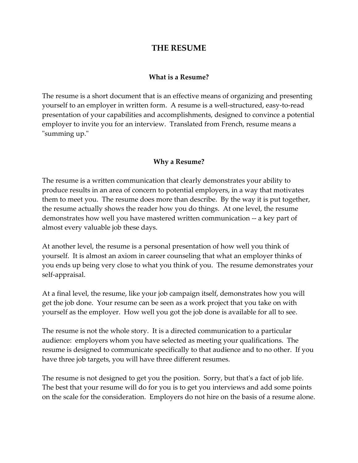# **THE RESUME**

#### **What is a Resume?**

The resume is a short document that is an effective means of organizing and presenting yourself to an employer in written form. A resume is a well-structured, easy-to-read presentation of your capabilities and accomplishments, designed to convince a potential employer to invite you for an interview. Translated from French, resume means a "summing up."

#### **Why a Resume?**

The resume is a written communication that clearly demonstrates your ability to produce results in an area of concern to potential employers, in a way that motivates them to meet you. The resume does more than describe. By the way it is put together, the resume actually shows the reader how you do things. At one level, the resume demonstrates how well you have mastered written communication -- a key part of almost every valuable job these days.

At another level, the resume is a personal presentation of how well you think of yourself. It is almost an axiom in career counseling that what an employer thinks of you ends up being very close to what you think of you. The resume demonstrates your self-appraisal.

At a final level, the resume, like your job campaign itself, demonstrates how you will get the job done. Your resume can be seen as a work project that you take on with yourself as the employer. How well you got the job done is available for all to see.

The resume is not the whole story. It is a directed communication to a particular audience: employers whom you have selected as meeting your qualifications. The resume is designed to communicate specifically to that audience and to no other. If you have three job targets, you will have three different resumes.

The resume is not designed to get you the position. Sorry, but that's a fact of job life. The best that your resume will do for you is to get you interviews and add some points on the scale for the consideration. Employers do not hire on the basis of a resume alone.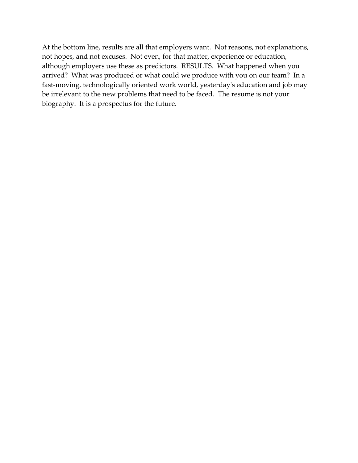At the bottom line, results are all that employers want. Not reasons, not explanations, not hopes, and not excuses. Not even, for that matter, experience or education, although employers use these as predictors. RESULTS. What happened when you arrived? What was produced or what could we produce with you on our team? In a fast-moving, technologically oriented work world, yesterday's education and job may be irrelevant to the new problems that need to be faced. The resume is not your biography. It is a prospectus for the future.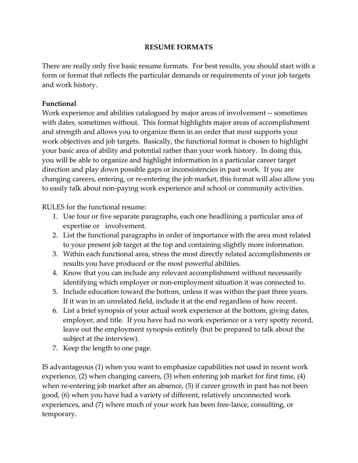# **RESUME FORMATS**

There are really only five basic resume formats. For best results, you should start with a form or format that reflects the particular demands or requirements of your job targets and work history.

# **Functional**

 Work experience and abilities catalogued by major areas of involvement -- sometimes with dates, sometimes without. This format highlights major areas of accomplishment and strength and allows you to organize them in an order that most supports your work objectives and job targets. Basically, the functional format is chosen to highlight your basic area of ability and potential rather than your work history. In doing this, you will be able to organize and highlight information in a particular career target direction and play down possible gaps or inconsistencies in past work. If you are changing careers, entering, or re-entering the job market, this format will also allow you to easily talk about non-paying work experience and school or community activities.

RULES for the functional resume:

- expertise or involvement. 1. Use four or five separate paragraphs, each one headlining a particular area of
- 2. List the functional paragraphs in order of importance with the area most related to your present job target at the top and containing slightly more information.
- 3. Within each functional area, stress the most directly related accomplishments or results you have produced or the most powerful abilities.
- 4. Know that you can include any relevant accomplishment without necessarily identifying which employer or non-employment situation it was connected to.
- 5. Include education toward the bottom, unless it was within the past three years. If it was in an unrelated field, include it at the end regardless of how recent.
- 6. List a brief synopsis of your actual work experience at the bottom, giving dates, employer, and title. If you have had no work experience or a very spotty record, leave out the employment synopsis entirely (but be prepared to talk about the subject at the interview).
- 7. Keep the length to one page.

IS advantageous (1) when you want to emphasize capabilities not used in recent work experience, (2) when changing careers, (3) when entering job market for first time, (4) when re-entering job market after an absence, (5) if career growth in past has not been good, (6) when you have had a variety of different, relatively unconnected work experiences, and (7) where much of your work has been free-lance, consulting, or temporary.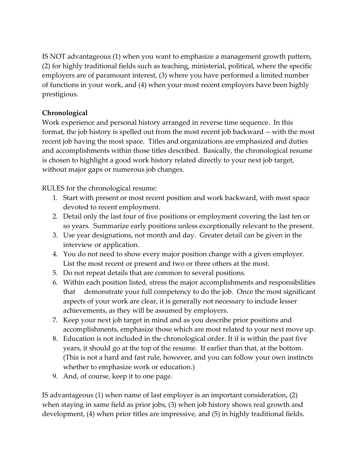IS NOT advantageous (1) when you want to emphasize a management growth pattern, (2) for highly traditional fields such as teaching, ministerial, political, where the specific employers are of paramount interest, (3) where you have performed a limited number of functions in your work, and (4) when your most recent employers have been highly prestigious.

# **Chronological**

Work experience and personal history arranged in reverse time sequence. In this format, the job history is spelled out from the most recent job backward -- with the most recent job having the most space. Titles and organizations are emphasized and duties and accomplishments within those titles described. Basically, the chronological resume is chosen to highlight a good work history related directly to your next job target, without major gaps or numerous job changes.

RULES for the chronological resume:

- 1. Start with present or most recent position and work backward, with most space devoted to recent employment.
- 2. Detail only the last four of five positions or employment covering the last ten or so years. Summarize early positions unless exceptionally relevant to the present.
- 3. Use year designations, not month and day. Greater detail can be given in the interview or application.
- 4. You do not need to show every major position change with a given employer. List the most recent or present and two or three others at the most.
- 5. Do not repeat details that are common to several positions.
- 6. Within each position listed, stress the major accomplishments and responsibilities that demonstrate your full competency to do the job. Once the most significant aspects of your work are clear, it is generally not necessary to include lesser achievements, as they will be assumed by employers.
- 7. Keep your next job target in mind and as you describe prior positions and accomplishments, emphasize those which are most related to your next move up.
- 8. Education is not included in the chronological order. It if is within the past five years, it should go at the top of the resume. If earlier than that, at the bottom. (This is not a hard and fast rule, however, and you can follow your own instincts whether to emphasize work or education.)
- 9. And, of course, keep it to one page.

IS advantageous (1) when name of last employer is an important consideration, (2) when staying in same field as prior jobs, (3) when job history shows real growth and development, (4) when prior titles are impressive, and (5) in highly traditional fields.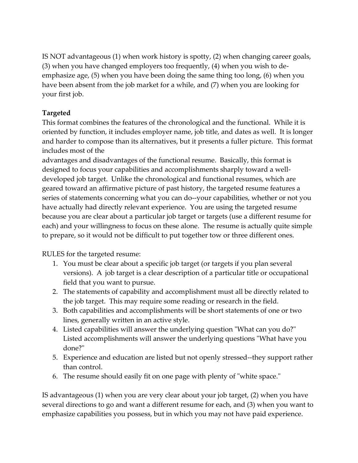IS NOT advantageous (1) when work history is spotty, (2) when changing career goals, (3) when you have changed employers too frequently, (4) when you wish to deemphasize age, (5) when you have been doing the same thing too long, (6) when you have been absent from the job market for a while, and (7) when you are looking for your first job.

# **Targeted**

This format combines the features of the chronological and the functional. While it is oriented by function, it includes employer name, job title, and dates as well. It is longer and harder to compose than its alternatives, but it presents a fuller picture. This format includes most of the

advantages and disadvantages of the functional resume. Basically, this format is designed to focus your capabilities and accomplishments sharply toward a welldeveloped job target. Unlike the chronological and functional resumes, which are geared toward an affirmative picture of past history, the targeted resume features a series of statements concerning what you can do--your capabilities, whether or not you have actually had directly relevant experience. You are using the targeted resume because you are clear about a particular job target or targets (use a different resume for each) and your willingness to focus on these alone. The resume is actually quite simple to prepare, so it would not be difficult to put together tow or three different ones.

RULES for the targeted resume:

- 1. You must be clear about a specific job target (or targets if you plan several versions). A job target is a clear description of a particular title or occupational field that you want to pursue.
- 2. The statements of capability and accomplishment must all be directly related to the job target. This may require some reading or research in the field.
- 3. Both capabilities and accomplishments will be short statements of one or two lines, generally written in an active style.
- 4. Listed capabilities will answer the underlying question "What can you do?" Listed accomplishments will answer the underlying questions "What have you done?"
- 5. Experience and education are listed but not openly stressed--they support rather than control.
- 6. The resume should easily fit on one page with plenty of "white space."

IS advantageous (1) when you are very clear about your job target, (2) when you have several directions to go and want a different resume for each, and (3) when you want to emphasize capabilities you possess, but in which you may not have paid experience.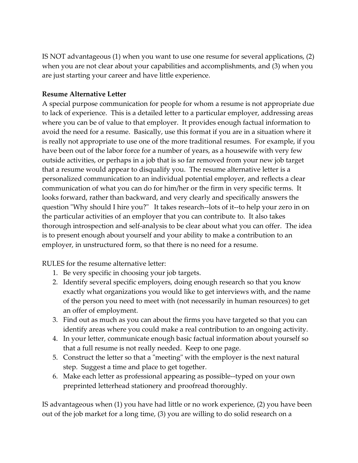IS NOT advantageous (1) when you want to use one resume for several applications, (2) when you are not clear about your capabilities and accomplishments, and (3) when you are just starting your career and have little experience.

# **Resume Alternative Letter**

A special purpose communication for people for whom a resume is not appropriate due to lack of experience. This is a detailed letter to a particular employer, addressing areas where you can be of value to that employer. It provides enough factual information to avoid the need for a resume. Basically, use this format if you are in a situation where it is really not appropriate to use one of the more traditional resumes. For example, if you have been out of the labor force for a number of years, as a housewife with very few outside activities, or perhaps in a job that is so far removed from your new job target that a resume would appear to disqualify you. The resume alternative letter is a personalized communication to an individual potential employer, and reflects a clear communication of what you can do for him/her or the firm in very specific terms. It looks forward, rather than backward, and very clearly and specifically answers the question "Why should I hire you?" It takes research--lots of it--to help your zero in on the particular activities of an employer that you can contribute to. It also takes thorough introspection and self-analysis to be clear about what you can offer. The idea is to present enough about yourself and your ability to make a contribution to an employer, in unstructured form, so that there is no need for a resume.

RULES for the resume alternative letter:

- 1. Be very specific in choosing your job targets.
- 2. Identify several specific employers, doing enough research so that you know exactly what organizations you would like to get interviews with, and the name of the person you need to meet with (not necessarily in human resources) to get an offer of employment.
- 3. Find out as much as you can about the firms you have targeted so that you can identify areas where you could make a real contribution to an ongoing activity.
- 4. In your letter, communicate enough basic factual information about yourself so that a full resume is not really needed. Keep to one page.
- 5. Construct the letter so that a "meeting" with the employer is the next natural step. Suggest a time and place to get together.
- 6. Make each letter as professional appearing as possible--typed on your own preprinted letterhead stationery and proofread thoroughly.

IS advantageous when (1) you have had little or no work experience, (2) you have been out of the job market for a long time, (3) you are willing to do solid research on a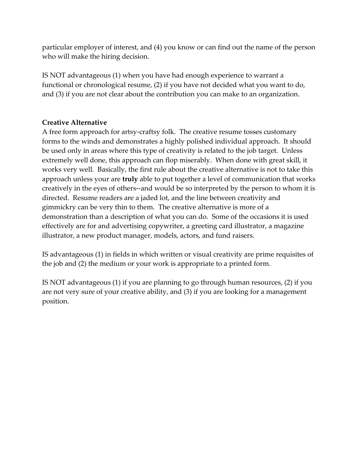particular employer of interest, and (4) you know or can find out the name of the person who will make the hiring decision.

IS NOT advantageous (1) when you have had enough experience to warrant a functional or chronological resume, (2) if you have not decided what you want to do, and (3) if you are not clear about the contribution you can make to an organization.

# **Creative Alternative**

 creatively in the eyes of others--and would be so interpreted by the person to whom it is A free form approach for artsy-craftsy folk. The creative resume tosses customary forms to the winds and demonstrates a highly polished individual approach. It should be used only in areas where this type of creativity is related to the job target. Unless extremely well done, this approach can flop miserably. When done with great skill, it works very well. Basically, the first rule about the creative alternative is not to take this approach unless your are **truly** able to put together a level of communication that works directed. Resume readers are a jaded lot, and the line between creativity and gimmickry can be very thin to them. The creative alternative is more of a demonstration than a description of what you can do. Some of the occasions it is used effectively are for and advertising copywriter, a greeting card illustrator, a magazine illustrator, a new product manager, models, actors, and fund raisers.

IS advantageous (1) in fields in which written or visual creativity are prime requisites of the job and (2) the medium or your work is appropriate to a printed form.

IS NOT advantageous (1) if you are planning to go through human resources, (2) if you are not very sure of your creative ability, and (3) if you are looking for a management position.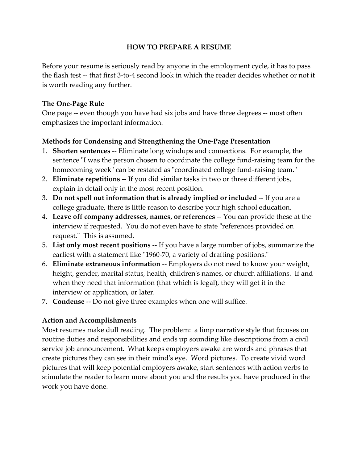# **HOW TO PREPARE A RESUME**

 the flash test -- that first 3-to-4 second look in which the reader decides whether or not it Before your resume is seriously read by anyone in the employment cycle, it has to pass is worth reading any further.

## **The One-Page Rule**

One page -- even though you have had six jobs and have three degrees -- most often emphasizes the important information.

# **Methods for Condensing and Strengthening the One-Page Presentation**

- 1. **Shorten sentences** -- Eliminate long windups and connections. For example, the sentence "I was the person chosen to coordinate the college fund-raising team for the homecoming week" can be restated as "coordinated college fund-raising team."
- 2. **Eliminate repetitions** -- If you did similar tasks in two or three different jobs, explain in detail only in the most recent position.
- 3. **Do not spell out information that is already implied or included** -- If you are a college graduate, there is little reason to describe your high school education.
- 4. **Leave off company addresses, names, or references** -- You can provide these at the interview if requested. You do not even have to state "references provided on request." This is assumed.
- 5. **List only most recent positions** -- If you have a large number of jobs, summarize the earliest with a statement like "1960-70, a variety of drafting positions."
- 6. **Eliminate extraneous information** -- Employers do not need to know your weight, height, gender, marital status, health, children's names, or church affiliations. If and when they need that information (that which is legal), they will get it in the interview or application, or later.
- 7. **Condense** -- Do not give three examples when one will suffice.

# **Action and Accomplishments**

Most resumes make dull reading. The problem: a limp narrative style that focuses on routine duties and responsibilities and ends up sounding like descriptions from a civil service job announcement. What keeps employers awake are words and phrases that create pictures they can see in their mind's eye. Word pictures. To create vivid word pictures that will keep potential employers awake, start sentences with action verbs to stimulate the reader to learn more about you and the results you have produced in the work you have done.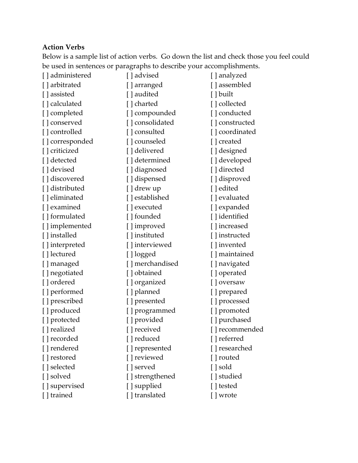# **Action Verbs**

Below is a sample list of action verbs. Go down the list and check those you feel could be used in sentences or paragraphs to describe your accomplishments.

| [] administered | [] advised       | [ ] analyzed    |
|-----------------|------------------|-----------------|
| [] arbitrated   | [ ] arranged     | [] assembled    |
| [] assisted     | [ ] audited      | [] built        |
| [] calculated   | [ ] charted      | [] collected    |
| [] completed    | [] compounded    | [] conducted    |
| [ ] conserved   | [] consolidated  | [] constructed  |
| [] controlled   | [] consulted     | [] coordinated  |
| [] corresponded | [ ] counseled    | [ ] created     |
| [] criticized   | [] delivered     | [] designed     |
| [] detected     | [] determined    | [] developed    |
| [] devised      | [] diagnosed     | [] directed     |
| [] discovered   | [] dispensed     | [] disproved    |
| [] distributed  | [ ] drew up      | [] edited       |
| [ ] eliminated  | [] established   | [] evaluated    |
| [ ] examined    | [ ] executed     | [] expanded     |
| [ ] formulated  | [] founded       | [ ] identified  |
| [] implemented  | [] improved      | [] increased    |
| [] installed    | [ ] instituted   | [ ] instructed  |
| [] interpreted  | [] interviewed   | [ ] invented    |
| [ ] lectured    | [ ] logged       | [ ] maintained  |
| [ ] managed     | [ ] merchandised | [] navigated    |
| [] negotiated   | [] obtained      | [] operated     |
| [] ordered      | [] organized     | [ ] oversaw     |
| [] performed    | [ ] planned      | [ ] prepared    |
| [] prescribed   | [ ] presented    | [] processed    |
| [] produced     | [] programmed    | [] promoted     |
| [ ] protected   | [ ] provided     | [ ] purchased   |
| [] realized     | [ ] received     | [ ] recommended |
| [ ] recorded    | [ ] reduced      | [ ] referred    |
| [ ] rendered    | [ ] represented  | [ ] researched  |
| [ ] restored    | [] reviewed      | [ ] routed      |
| [] selected     | [ ] served       | [ ] sold        |
| [ ] solved      | [ ] strengthened | [ ] studied     |
| [ ] supervised  | [ ] supplied     | [ ] tested      |
| [] trained      | [ ] translated   | [ ] wrote       |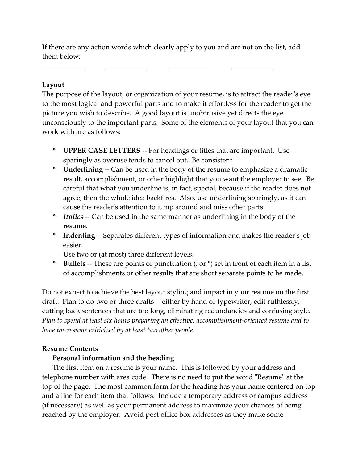If there are any action words which clearly apply to you and are not on the list, add them below:

#### **Layout**

l

The purpose of the layout, or organization of your resume, is to attract the reader's eye to the most logical and powerful parts and to make it effortless for the reader to get the picture you wish to describe. A good layout is unobtrusive yet directs the eye unconsciously to the important parts. Some of the elements of your layout that you can work with are as follows:

- **\* UPPER CASE LETTERS** -- For headings or titles that are important. Use sparingly as overuse tends to cancel out. Be consistent.
- **\* Underlining** -- Can be used in the body of the resume to emphasize a dramatic result, accomplishment, or other highlight that you want the employer to see. Be careful that what you underline is, in fact, special, because if the reader does not agree, then the whole idea backfires. Also, use underlining sparingly, as it can cause the reader's attention to jump around and miss other parts.
- **\*** *Italics* -- Can be used in the same manner as underlining in the body of the resume.
- **\* Indenting** -- Separates different types of information and makes the reader's job easier.

Use two or (at most) three different levels.

 **\* Bullets** -- These are points of punctuation (. or \*) set in front of each item in a list of accomplishments or other results that are short separate points to be made.

 draft. Plan to do two or three drafts -- either by hand or typewriter, edit ruthlessly, Do not expect to achieve the best layout styling and impact in your resume on the first cutting back sentences that are too long, eliminating redundancies and confusing style. *Plan to spend at least six hours preparing an effective, accomplishment-oriented resume and to have the resume criticized by at least two other people.* 

#### **Resume Contents**

# **Personal information and the heading**

The first item on a resume is your name. This is followed by your address and telephone number with area code. There is no need to put the word "Resume" at the top of the page. The most common form for the heading has your name centered on top and a line for each item that follows. Include a temporary address or campus address (if necessary) as well as your permanent address to maximize your chances of being reached by the employer. Avoid post office box addresses as they make some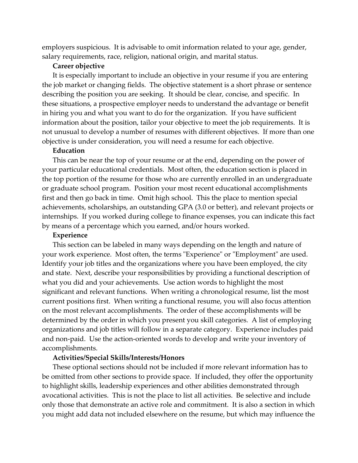employers suspicious. It is advisable to omit information related to your age, gender, salary requirements, race, religion, national origin, and marital status.

#### **Career objective**

 describing the position you are seeking. It should be clear, concise, and specific. In It is especially important to include an objective in your resume if you are entering the job market or changing fields. The objective statement is a short phrase or sentence these situations, a prospective employer needs to understand the advantage or benefit in hiring you and what you want to do for the organization. If you have sufficient information about the position, tailor your objective to meet the job requirements. It is not unusual to develop a number of resumes with different objectives. If more than one objective is under consideration, you will need a resume for each objective.

#### **Education**

This can be near the top of your resume or at the end, depending on the power of your particular educational credentials. Most often, the education section is placed in the top portion of the resume for those who are currently enrolled in an undergraduate or graduate school program. Position your most recent educational accomplishments first and then go back in time. Omit high school. This the place to mention special achievements, scholarships, an outstanding GPA (3.0 or better), and relevant projects or internships. If you worked during college to finance expenses, you can indicate this fact by means of a percentage which you earned, and/or hours worked.

#### **Experience**

This section can be labeled in many ways depending on the length and nature of your work experience. Most often, the terms "Experience" or "Employment" are used. Identify your job titles and the organizations where you have been employed, the city and state. Next, describe your responsibilities by providing a functional description of what you did and your achievements. Use action words to highlight the most significant and relevant functions. When writing a chronological resume, list the most current positions first. When writing a functional resume, you will also focus attention on the most relevant accomplishments. The order of these accomplishments will be determined by the order in which you present you skill categories. A list of employing organizations and job titles will follow in a separate category. Experience includes paid and non-paid. Use the action-oriented words to develop and write your inventory of accomplishments.

#### **Activities/Special Skills/Interests/Honors**

These optional sections should not be included if more relevant information has to be omitted from other sections to provide space. If included, they offer the opportunity to highlight skills, leadership experiences and other abilities demonstrated through avocational activities. This is not the place to list all activities. Be selective and include only those that demonstrate an active role and commitment. It is also a section in which you might add data not included elsewhere on the resume, but which may influence the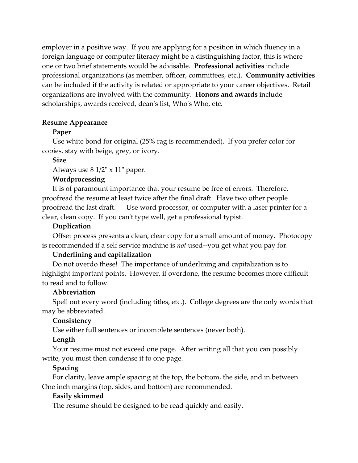employer in a positive way. If you are applying for a position in which fluency in a foreign language or computer literacy might be a distinguishing factor, this is where one or two brief statements would be advisable. **Professional activities** include professional organizations (as member, officer, committees, etc.). **Community activities**  can be included if the activity is related or appropriate to your career objectives. Retail organizations are involved with the community. **Honors and awards** include scholarships, awards received, dean's list, Who's Who, etc.

#### **Resume Appearance**

#### **Paper**

Use white bond for original (25% rag is recommended). If you prefer color for copies, stay with beige, grey, or ivory.

#### **Size**

Always use 8 1/2" x 11" paper.

#### **Wordprocessing**

It is of paramount importance that your resume be free of errors. Therefore, proofread the resume at least twice after the final draft. Have two other people proofread the last draft. Use word processor, or computer with a laser printer for a clear, clean copy. If you can't type well, get a professional typist.

#### **Duplication**

 is recommended if a self service machine is *not* used--you get what you pay for. Offset process presents a clean, clear copy for a small amount of money. Photocopy

#### **Underlining and capitalization**

Do not overdo these! The importance of underlining and capitalization is to highlight important points. However, if overdone, the resume becomes more difficult to read and to follow.

#### **Abbreviation**

Spell out every word (including titles, etc.). College degrees are the only words that may be abbreviated.

#### **Consistency**

Use either full sentences or incomplete sentences (never both).

#### **Length**

Your resume must not exceed one page. After writing all that you can possibly write, you must then condense it to one page.

#### **Spacing**

For clarity, leave ample spacing at the top, the bottom, the side, and in between. One inch margins (top, sides, and bottom) are recommended.

#### **Easily skimmed**

The resume should be designed to be read quickly and easily.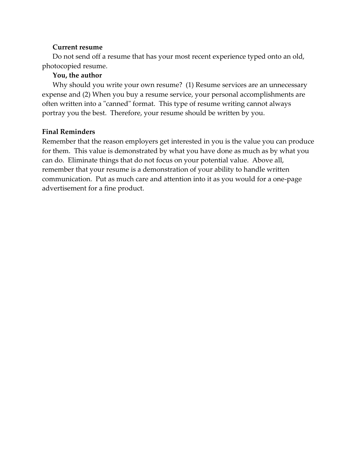## **Current resume**

 photocopied resume. Do not send off a resume that has your most recent experience typed onto an old,

# **You, the author**

Why should you write your own resume? (1) Resume services are an unnecessary expense and (2) When you buy a resume service, your personal accomplishments are often written into a "canned" format. This type of resume writing cannot always portray you the best. Therefore, your resume should be written by you.

# **Final Reminders**

Remember that the reason employers get interested in you is the value you can produce for them. This value is demonstrated by what you have done as much as by what you can do. Eliminate things that do not focus on your potential value. Above all, remember that your resume is a demonstration of your ability to handle written communication. Put as much care and attention into it as you would for a one-page advertisement for a fine product.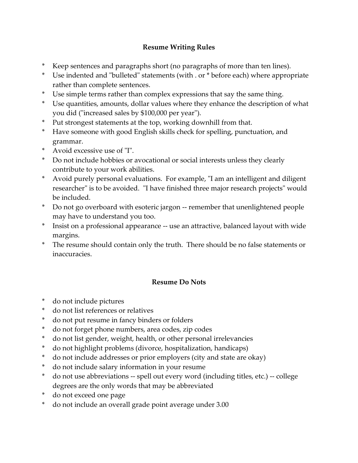# **Resume Writing Rules**

- \* Keep sentences and paragraphs short (no paragraphs of more than ten lines).
- \* Use indented and "bulleted" statements (with . or \* before each) where appropriate rather than complete sentences.
- \* Use simple terms rather than complex expressions that say the same thing.
- Use quantities, amounts, dollar values where they enhance the description of what you did ("increased sales by \$100,000 per year").
- Put strongest statements at the top, working downhill from that.
- Have someone with good English skills check for spelling, punctuation, and grammar.
- \* Avoid excessive use of "I".
- \* Do not include hobbies or avocational or social interests unless they clearly contribute to your work abilities.
- \* Avoid purely personal evaluations. For example, "I am an intelligent and diligent researcher" is to be avoided. "I have finished three major research projects" would be included.
- \* Do not go overboard with esoteric jargon -- remember that unenlightened people may have to understand you too.
- \* Insist on a professional appearance -- use an attractive, balanced layout with wide margins.
- \* The resume should contain only the truth. There should be no false statements or inaccuracies.

# **Resume Do Nots**

- \* do not include pictures
- \* do not list references or relatives
- \* do not put resume in fancy binders or folders
- \* do not forget phone numbers, area codes, zip codes
- \* do not list gender, weight, health, or other personal irrelevancies
- do not highlight problems (divorce, hospitalization, handicaps)
- \* do not include addresses or prior employers (city and state are okay)
- do not include salary information in your resume
- \* do not use abbreviations -- spell out every word (including titles, etc.) -- college degrees are the only words that may be abbreviated
- \* do not exceed one page
- \* do not include an overall grade point average under 3.00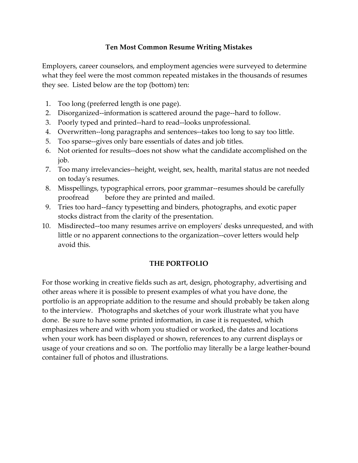# **Ten Most Common Resume Writing Mistakes**

Employers, career counselors, and employment agencies were surveyed to determine what they feel were the most common repeated mistakes in the thousands of resumes they see. Listed below are the top (bottom) ten:

- 1. Too long (preferred length is one page).
- 2. Disorganized--information is scattered around the page--hard to follow.
- 3. Poorly typed and printed--hard to read--looks unprofessional.
- 4. Overwritten--long paragraphs and sentences--takes too long to say too little.
- 5. Too sparse--gives only bare essentials of dates and job titles.
- 6. Not oriented for results--does not show what the candidate accomplished on the job.
- 7. Too many irrelevancies--height, weight, sex, health, marital status are not needed on today's resumes.
- 8. Misspellings, typographical errors, poor grammar--resumes should be carefully proofread before they are printed and mailed.
- 9. Tries too hard--fancy typesetting and binders, photographs, and exotic paper stocks distract from the clarity of the presentation.
- 10. Misdirected--too many resumes arrive on employers' desks unrequested, and with little or no apparent connections to the organization--cover letters would help avoid this.

# **THE PORTFOLIO**

For those working in creative fields such as art, design, photography, advertising and other areas where it is possible to present examples of what you have done, the portfolio is an appropriate addition to the resume and should probably be taken along to the interview. Photographs and sketches of your work illustrate what you have done. Be sure to have some printed information, in case it is requested, which emphasizes where and with whom you studied or worked, the dates and locations when your work has been displayed or shown, references to any current displays or usage of your creations and so on. The portfolio may literally be a large leather-bound container full of photos and illustrations.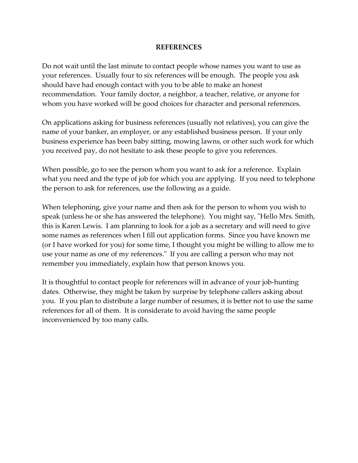#### **REFERENCES**

Do not wait until the last minute to contact people whose names you want to use as your references. Usually four to six references will be enough. The people you ask should have had enough contact with you to be able to make an honest recommendation. Your family doctor, a neighbor, a teacher, relative, or anyone for whom you have worked will be good choices for character and personal references.

On applications asking for business references (usually not relatives), you can give the name of your banker, an employer, or any established business person. If your only business experience has been baby sitting, mowing lawns, or other such work for which you received pay, do not hesitate to ask these people to give you references.

 the person to ask for references, use the following as a guide. When possible, go to see the person whom you want to ask for a reference. Explain what you need and the type of job for which you are applying. If you need to telephone

When telephoning, give your name and then ask for the person to whom you wish to speak (unless he or she has answered the telephone). You might say, "Hello Mrs. Smith, this is Karen Lewis. I am planning to look for a job as a secretary and will need to give some names as references when I fill out application forms. Since you have known me (or I have worked for you) for some time, I thought you might be willing to allow me to use your name as one of my references." If you are calling a person who may not remember you immediately, explain how that person knows you.

It is thoughtful to contact people for references will in advance of your job-hunting dates. Otherwise, they might be taken by surprise by telephone callers asking about you. If you plan to distribute a large number of resumes, it is better not to use the same references for all of them. It is considerate to avoid having the same people inconvenienced by too many calls.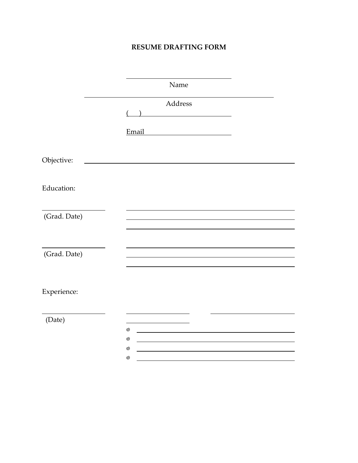# **RESUME DRAFTING FORM**

|              | Name                                                                                                                 |  |
|--------------|----------------------------------------------------------------------------------------------------------------------|--|
|              | Address                                                                                                              |  |
|              | Email                                                                                                                |  |
| Objective:   | <u> 1980 - Andrea Station Barbara, politik eta provincia eta provincia eta provincia eta provincia eta provincia</u> |  |
| Education:   |                                                                                                                      |  |
| (Grad. Date) |                                                                                                                      |  |
| (Grad. Date) |                                                                                                                      |  |
| Experience:  |                                                                                                                      |  |
| (Date)       |                                                                                                                      |  |
|              | $^{\circledR}$                                                                                                       |  |
|              | $^{\circledR}$                                                                                                       |  |
|              | ⊚<br>⊚                                                                                                               |  |
|              |                                                                                                                      |  |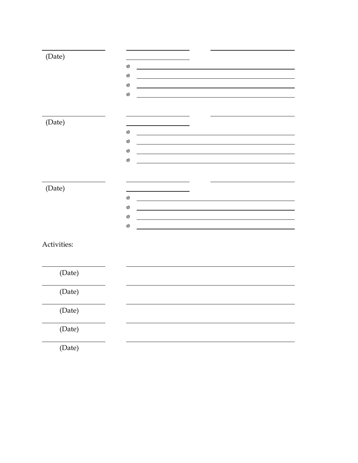| (Date)      |                 |  |  |
|-------------|-----------------|--|--|
|             | $\circledcirc$  |  |  |
|             | $\circledcirc$  |  |  |
|             | $\circledcirc$  |  |  |
|             | $^{\copyright}$ |  |  |
|             |                 |  |  |
|             |                 |  |  |
| (Date)      |                 |  |  |
|             | $\circledcirc$  |  |  |
|             | $^{\copyright}$ |  |  |
|             | $\circledcirc$  |  |  |
|             | $^{\circledR}$  |  |  |
|             |                 |  |  |
|             |                 |  |  |
| (Date)      |                 |  |  |
|             | $^{\copyright}$ |  |  |
|             | $\circledcirc$  |  |  |
|             | $^{\circledR}$  |  |  |
|             | $^{\circledR}$  |  |  |
|             |                 |  |  |
| Activities: |                 |  |  |
|             |                 |  |  |
|             |                 |  |  |
| (Date)      |                 |  |  |
|             |                 |  |  |
| (Date)      |                 |  |  |
|             |                 |  |  |
| (Date)      |                 |  |  |
|             |                 |  |  |
| (Date)      |                 |  |  |
|             |                 |  |  |
| (Date)      |                 |  |  |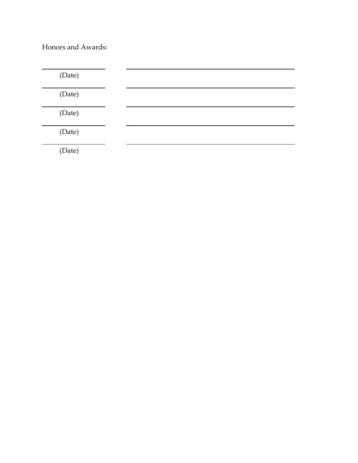Honors and Awards:

| (Date) |  |  |  |
|--------|--|--|--|
| (Date) |  |  |  |
| (Date) |  |  |  |
| (Date) |  |  |  |
| (Date) |  |  |  |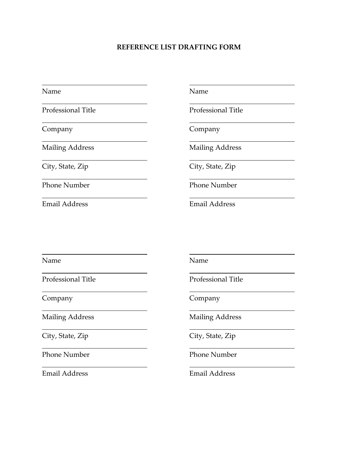#### **REFERENCE LIST DRAFTING FORM**

Name

l

l

l

 $\overline{a}$ 

 $\overline{a}$ 

l

l

Company

**Mailing Address** 

City, State, Zip

Phone Number

Email Address Email Address

Name Name Name

Professional Title **Professional Title** 

Company Company

Mailing Address

City, State, Zip

Phone Number

Name

l

l,

l,

 $\overline{a}$ 

 $\overline{a}$ 

l,

l,

Professional Title

Company

**Mailing Address** 

City, State, Zip

**Phone Number** 

Email Address

Name Name Name

Professional Title

Company Company

Mailing Address

City, State, Zip

Phone Number

Email Address Email Address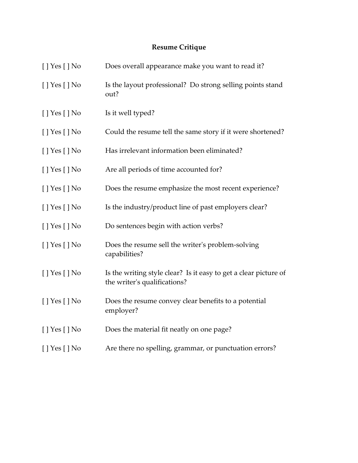# **Resume Critique**

| $[$ ] Yes $[$ ] No | Does overall appearance make you want to read it?                                                |
|--------------------|--------------------------------------------------------------------------------------------------|
| $[$ ] Yes $[$ ] No | Is the layout professional? Do strong selling points stand<br>out?                               |
| $[$ ] Yes $[$ ] No | Is it well typed?                                                                                |
| $[$   Yes $[$   No | Could the resume tell the same story if it were shortened?                                       |
| $[$ ] Yes $[$ ] No | Has irrelevant information been eliminated?                                                      |
| $[$ ] Yes $[$ ] No | Are all periods of time accounted for?                                                           |
| $[$ ] Yes $[$ ] No | Does the resume emphasize the most recent experience?                                            |
| $[$ ] Yes $[$ ] No | Is the industry/product line of past employers clear?                                            |
| $[$ ] Yes $[$ ] No | Do sentences begin with action verbs?                                                            |
| [ ] Yes [ ] No     | Does the resume sell the writer's problem-solving<br>capabilities?                               |
| $[$ ] Yes $[$ ] No | Is the writing style clear? Is it easy to get a clear picture of<br>the writer's qualifications? |
| [ ] Yes [ ] No     | Does the resume convey clear benefits to a potential<br>employer?                                |
| $[$ ] Yes $[$ ] No | Does the material fit neatly on one page?                                                        |
| $[$ ] Yes $[$ ] No | Are there no spelling, grammar, or punctuation errors?                                           |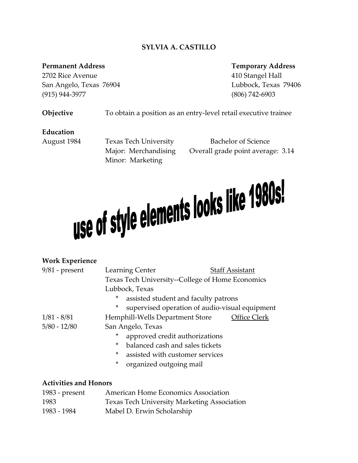# **SYLVIA A. CASTILLO**

#### **Permanent Address**

2702 Rice Avenue San Angelo, Texas 76904 Lubbock, Texas 79406  $(915)$  944-3977

**Temporary Address** 410 Stangel Hall (806) 742-6903

Objective To obtain a position as an entry-level retail executive trainee

#### **Education**

August 1984

Minor: Marketing

Texas Tech University Bachelor of Science Major: Merchandising Overall grade point average: 3.14

# use of style elements looks like 1980s!

#### **Work Experience**

| $9/81$ - present |   | Learning Center                                  | <b>Staff Assistant</b>                         |  |  |
|------------------|---|--------------------------------------------------|------------------------------------------------|--|--|
|                  |   | Texas Tech University--College of Home Economics |                                                |  |  |
|                  |   | Lubbock, Texas                                   |                                                |  |  |
|                  | * | assisted student and faculty patrons             |                                                |  |  |
|                  | ∗ |                                                  | supervised operation of audio-visual equipment |  |  |
| $1/81 - 8/81$    |   | Hemphill-Wells Department Store                  | Office Clerk                                   |  |  |
| $5/80 - 12/80$   |   | San Angelo, Texas                                |                                                |  |  |
|                  | * | approved credit authorizations                   |                                                |  |  |
|                  | * | balanced cash and sales tickets                  |                                                |  |  |
|                  | * | assisted with customer services                  |                                                |  |  |
|                  | × | organized outgoing mail                          |                                                |  |  |

#### **Activities and Honors**

| 1983 - present | American Home Economics Association                |
|----------------|----------------------------------------------------|
| 1983           | <b>Texas Tech University Marketing Association</b> |
| 1983 - 1984    | Mabel D. Erwin Scholarship                         |